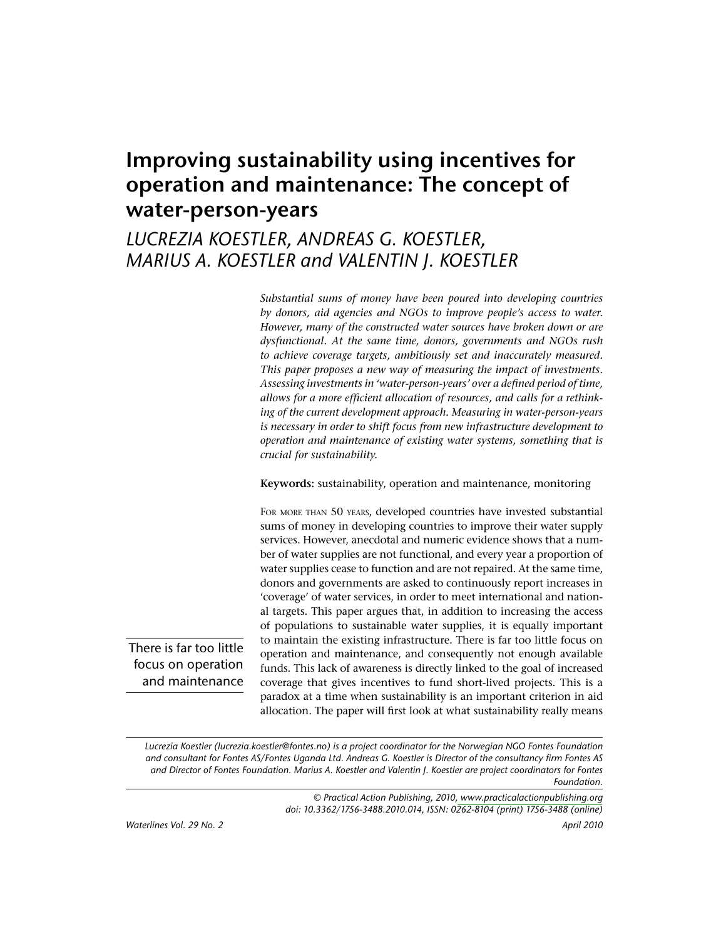# Improving sustainability using incentives for operation and maintenance: The concept of water-person-years

## LUCREZIA KOESTLER, ANDREAS G. KOESTLER, MARIUS A. KOESTLER and VALENTIN J. KOESTLER

Substantial sums of money have been poured into developing countries by donors, aid agencies and NGOs to improve people's access to water. However, many of the constructed water sources have broken down or are dysfunctional. At the same time, donors, governments and NGOs rush to achieve coverage targets, ambitiously set and inaccurately measured. This paper proposes a new way of measuring the impact of investments. Assessing investments in 'water-person-years' over a defined period of time, allows for a more efficient allocation of resources, and calls for a rethinking of the current development approach. Measuring in water-person-years is necessary in order to shift focus from new infrastructure development to operation and maintenance of existing water systems, something that is crucial for sustainability.

Keywords: sustainability, operation and maintenance, monitoring

FOR MORE THAN 50 YEARS, developed countries have invested substantial sums of money in developing countries to improve their water supply services. However, anecdotal and numeric evidence shows that a number of water supplies are not functional, and every year a proportion of water supplies cease to function and are not repaired. At the same time, donors and governments are asked to continuously report increases in 'coverage' of water services, in order to meet international and national targets. This paper argues that, in addition to increasing the access of populations to sustainable water supplies, it is equally important to maintain the existing infrastructure. There is far too little focus on operation and maintenance, and consequently not enough available funds. This lack of awareness is directly linked to the goal of increased coverage that gives incentives to fund short-lived projects. This is a paradox at a time when sustainability is an important criterion in aid allocation. The paper will first look at what sustainability really means

There is far too little focus on operation and maintenance

> Lucrezia Koestler (lucrezia.koestler@fontes.no) is a project coordinator for the Norwegian NGO Fontes Foundation and consultant for Fontes AS/Fontes Uganda Ltd. Andreas G. Koestler is Director of the consultancy firm Fontes AS and Director of Fontes Foundation. Marius A. Koestler and Valentin J. Koestler are project coordinators for Fontes Foundation.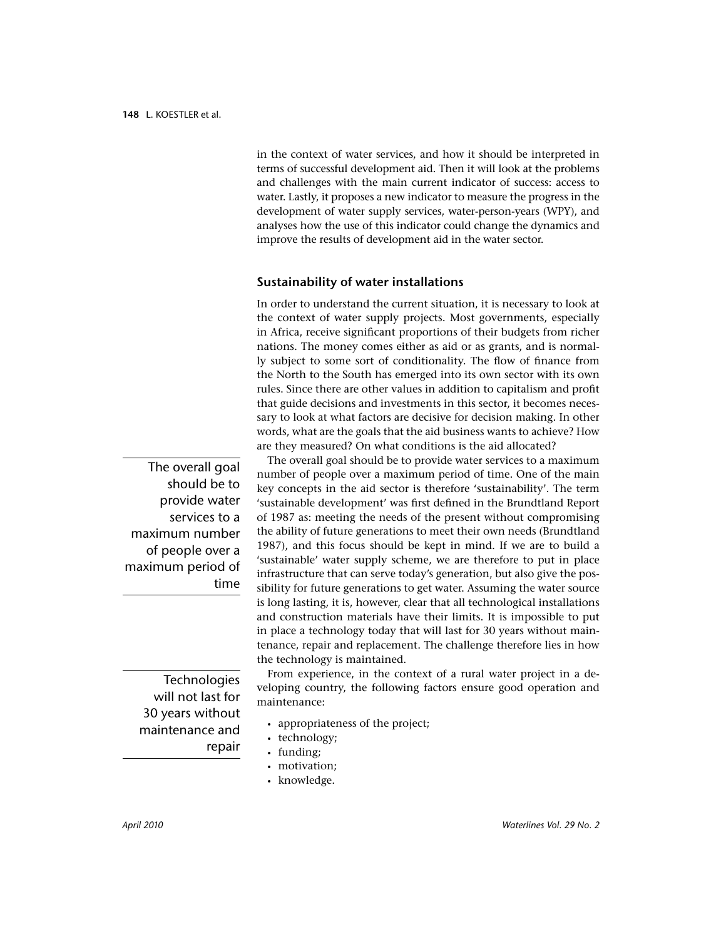in the context of water services, and how it should be interpreted in terms of successful development aid. Then it will look at the problems and challenges with the main current indicator of success: access to water. Lastly, it proposes a new indicator to measure the progress in the development of water supply services, water-person-years (WPY), and analyses how the use of this indicator could change the dynamics and improve the results of development aid in the water sector.

#### **Sustainability of water installations**

In order to understand the current situation, it is necessary to look at the context of water supply projects. Most governments, especially in Africa, receive significant proportions of their budgets from richer nations. The money comes either as aid or as grants, and is normally subject to some sort of conditionality. The flow of finance from the North to the South has emerged into its own sector with its own rules. Since there are other values in addition to capitalism and profit that guide decisions and investments in this sector, it becomes necessary to look at what factors are decisive for decision making. In other words, what are the goals that the aid business wants to achieve? How are they measured? On what conditions is the aid allocated?

The overall goal should be to provide water services to a maximum number of people over a maximum period of time. One of the main key concepts in the aid sector is therefore 'sustainability'. The term 'sustainable development' was first defined in the Brundtland Report of 1987 as: meeting the needs of the present without compromising the ability of future generations to meet their own needs (Brundtland 1987), and this focus should be kept in mind. If we are to build a 'sustainable' water supply scheme, we are therefore to put in place infrastructure that can serve today's generation, but also give the possibility for future generations to get water. Assuming the water source is long lasting, it is, however, clear that all technological installations and construction materials have their limits. It is impossible to put in place a technology today that will last for 30 years without maintenance, repair and replacement. The challenge therefore lies in how the technology is maintained.

From experience, in the context of a rural water project in a developing country, the following factors ensure good operation and maintenance:

- appropriateness of the project;
- technology;
- · funding;
- · motivation;
- knowledge.

The overall goal should be to provide water services to a maximum number of people over a maximum period of time

> Technologies will not last for 30 years without maintenance and repair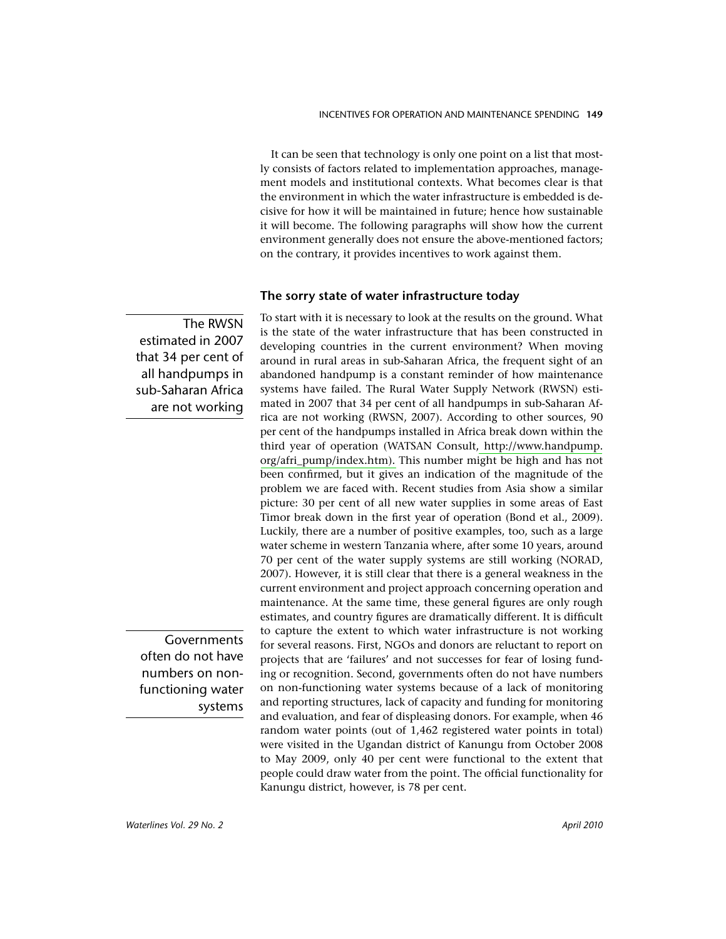It can be seen that technology is only one point on a list that mostly consists of factors related to implementation approaches, management models and institutional contexts. What becomes clear is that the environment in which the water infrastructure is embedded is decisive for how it will be maintained in future: hence how sustainable it will become. The following paragraphs will show how the current environment generally does not ensure the above-mentioned factors; on the contrary, it provides incentives to work against them.

#### The sorry state of water infrastructure today

To start with it is necessary to look at the results on the ground. What is the state of the water infrastructure that has been constructed in developing countries in the current environment? When moving around in rural areas in sub-Saharan Africa, the frequent sight of an abandoned handpump is a constant reminder of how maintenance systems have failed. The Rural Water Supply Network (RWSN) estimated in 2007 that 34 per cent of all handpumps in sub-Saharan Africa are not working (RWSN, 2007). According to other sources, 90 per cent of the handpumps installed in Africa break down within the third year of operation (WATSAN Consult, http://www.handpump. org/afri\_pump/index.htm). This number might be high and has not been confirmed, but it gives an indication of the magnitude of the problem we are faced with. Recent studies from Asia show a similar picture: 30 per cent of all new water supplies in some areas of East Timor break down in the first year of operation (Bond et al., 2009). Luckily, there are a number of positive examples, too, such as a large water scheme in western Tanzania where, after some 10 years, around 70 per cent of the water supply systems are still working (NORAD, 2007). However, it is still clear that there is a general weakness in the current environment and project approach concerning operation and maintenance. At the same time, these general figures are only rough estimates, and country figures are dramatically different. It is difficult to capture the extent to which water infrastructure is not working for several reasons. First, NGOs and donors are reluctant to report on projects that are 'failures' and not successes for fear of losing funding or recognition. Second, governments often do not have numbers on non-functioning water systems because of a lack of monitoring and reporting structures, lack of capacity and funding for monitoring and evaluation, and fear of displeasing donors. For example, when 46 random water points (out of 1,462 registered water points in total) were visited in the Ugandan district of Kanungu from October 2008 to May 2009, only 40 per cent were functional to the extent that people could draw water from the point. The official functionality for Kanungu district, however, is 78 per cent.

The RWSN estimated in 2007 that 34 per cent of all handpumps in sub-Saharan Africa are not working

Governments often do not have numbers on nonfunctioning water systems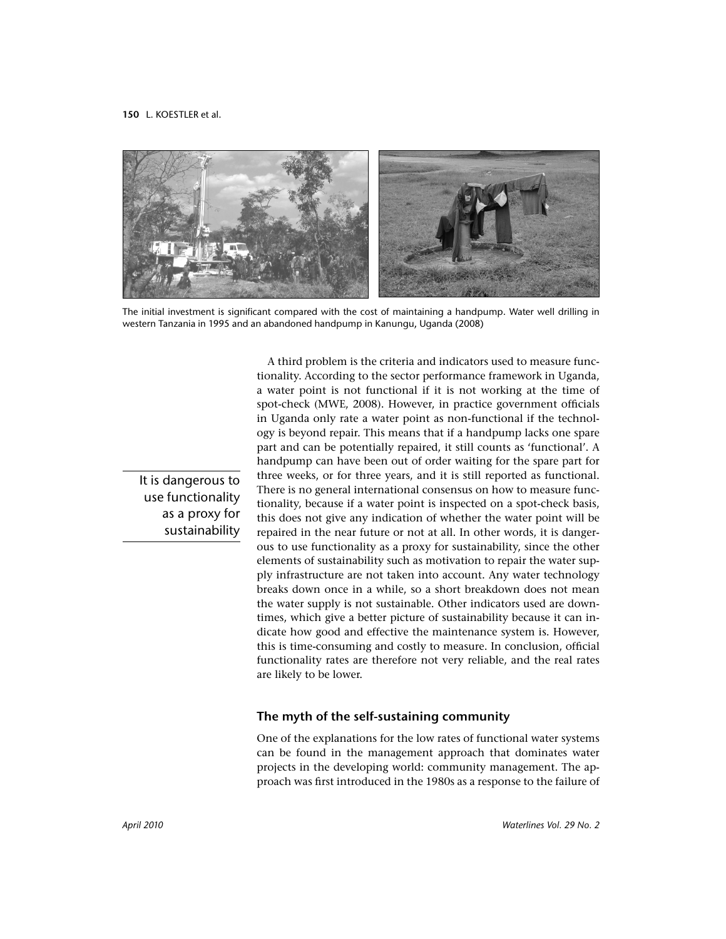

The initial investment is significant compared with the cost of maintaining a handpump. Water well drilling in western Tanzania in 1995 and an abandoned handpump in Kanungu, Uganda (2008)

It is dangerous to use functionality as a proxy for sustainability

A third problem is the criteria and indicators used to measure functionality. According to the sector performance framework in Uganda, a water point is not functional if it is not working at the time of spot-check (MWE, 2008). However, in practice government officials in Uganda only rate a water point as non-functional if the technology is beyond repair. This means that if a handpump lacks one spare part and can be potentially repaired, it still counts as 'functional'. A handpump can have been out of order waiting for the spare part for three weeks, or for three years, and it is still reported as functional. There is no general international consensus on how to measure functionality, because if a water point is inspected on a spot-check basis, this does not give any indication of whether the water point will be repaired in the near future or not at all. In other words, it is dangerous to use functionality as a proxy for sustainability, since the other elements of sustainability such as motivation to repair the water supply infrastructure are not taken into account. Any water technology breaks down once in a while, so a short breakdown does not mean the water supply is not sustainable. Other indicators used are downtimes, which give a better picture of sustainability because it can indicate how good and effective the maintenance system is. However, this is time-consuming and costly to measure. In conclusion, official functionality rates are therefore not very reliable, and the real rates are likely to be lower.

#### The myth of the self-sustaining community

One of the explanations for the low rates of functional water systems can be found in the management approach that dominates water projects in the developing world: community management. The approach was first introduced in the 1980s as a response to the failure of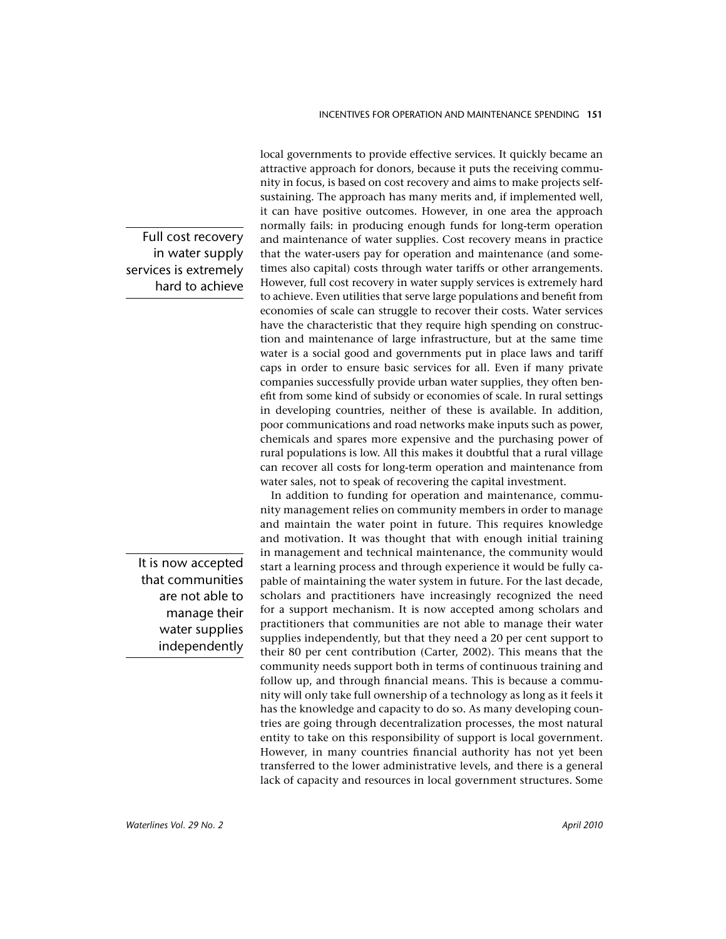Full cost recovery in water supply services is extremely hard to achieve

> It is now accepted that communities are not able to manage their water supplies independently

local governments to provide effective services. It quickly became an attractive approach for donors, because it puts the receiving community in focus, is based on cost recovery and aims to make projects selfsustaining. The approach has many merits and, if implemented well, it can have positive outcomes. However, in one area the approach normally fails: in producing enough funds for long-term operation and maintenance of water supplies. Cost recovery means in practice that the water-users pay for operation and maintenance (and sometimes also capital) costs through water tariffs or other arrangements. However, full cost recovery in water supply services is extremely hard to achieve. Even utilities that serve large populations and benefit from economies of scale can struggle to recover their costs. Water services have the characteristic that they require high spending on construction and maintenance of large infrastructure, but at the same time water is a social good and governments put in place laws and tariff caps in order to ensure basic services for all. Even if many private companies successfully provide urban water supplies, they often benefit from some kind of subsidy or economies of scale. In rural settings in developing countries, neither of these is available. In addition, poor communications and road networks make inputs such as power, chemicals and spares more expensive and the purchasing power of rural populations is low. All this makes it doubtful that a rural village can recover all costs for long-term operation and maintenance from water sales, not to speak of recovering the capital investment.

In addition to funding for operation and maintenance, community management relies on community members in order to manage and maintain the water point in future. This requires knowledge and motivation. It was thought that with enough initial training in management and technical maintenance, the community would start a learning process and through experience it would be fully capable of maintaining the water system in future. For the last decade, scholars and practitioners have increasingly recognized the need for a support mechanism. It is now accepted among scholars and practitioners that communities are not able to manage their water supplies independently, but that they need a 20 per cent support to their 80 per cent contribution (Carter, 2002). This means that the community needs support both in terms of continuous training and follow up, and through financial means. This is because a community will only take full ownership of a technology as long as it feels it has the knowledge and capacity to do so. As many developing countries are going through decentralization processes, the most natural entity to take on this responsibility of support is local government. However, in many countries financial authority has not yet been transferred to the lower administrative levels, and there is a general lack of capacity and resources in local government structures. Some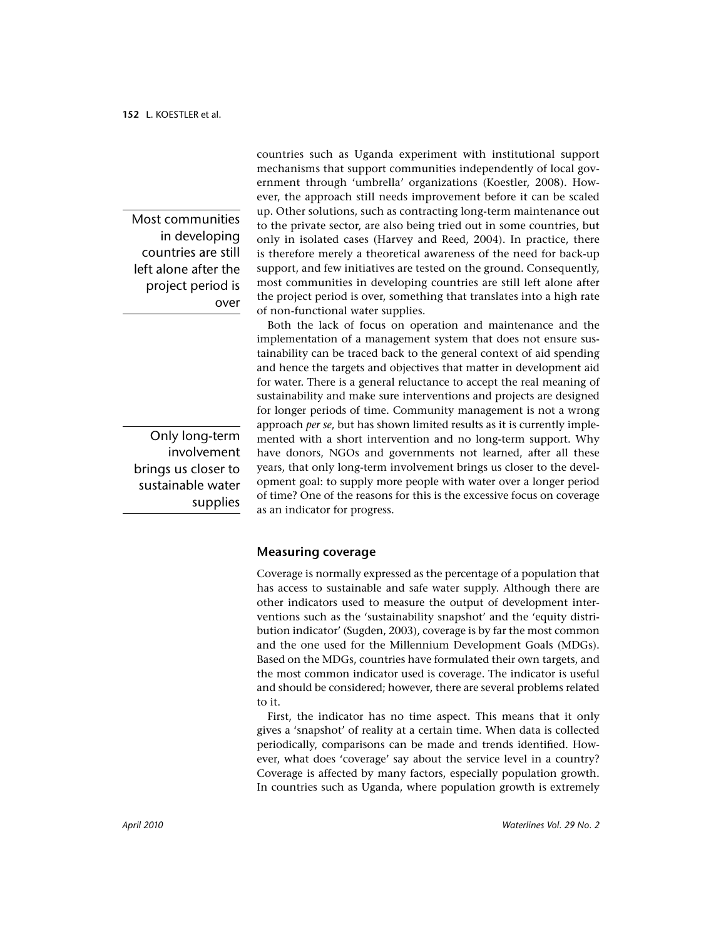Most communities in developing countries are still left alone after the project period is over

Only long-term involvement brings us closer to sustainable water supplies

countries such as Uganda experiment with institutional support mechanisms that support communities independently of local government through 'umbrella' organizations (Koestler, 2008). However, the approach still needs improvement before it can be scaled up. Other solutions, such as contracting long-term maintenance out to the private sector, are also being tried out in some countries, but only in isolated cases (Harvey and Reed, 2004). In practice, there is therefore merely a theoretical awareness of the need for back-up support, and few initiatives are tested on the ground. Consequently, most communities in developing countries are still left alone after the project period is over, something that translates into a high rate of non-functional water supplies.

Both the lack of focus on operation and maintenance and the implementation of a management system that does not ensure sustainability can be traced back to the general context of aid spending and hence the targets and objectives that matter in development aid for water. There is a general reluctance to accept the real meaning of sustainability and make sure interventions and projects are designed for longer periods of time. Community management is not a wrong approach per se, but has shown limited results as it is currently implemented with a short intervention and no long-term support. Why have donors, NGOs and governments not learned, after all these years, that only long-term involvement brings us closer to the development goal: to supply more people with water over a longer period of time? One of the reasons for this is the excessive focus on coverage as an indicator for progress.

#### **Measuring coverage**

Coverage is normally expressed as the percentage of a population that has access to sustainable and safe water supply. Although there are other indicators used to measure the output of development interventions such as the 'sustainability snapshot' and the 'equity distribution indicator' (Sugden, 2003), coverage is by far the most common and the one used for the Millennium Development Goals (MDGs). Based on the MDGs, countries have formulated their own targets, and the most common indicator used is coverage. The indicator is useful and should be considered; however, there are several problems related to it.

First, the indicator has no time aspect. This means that it only gives a 'snapshot' of reality at a certain time. When data is collected periodically, comparisons can be made and trends identified. However, what does 'coverage' say about the service level in a country? Coverage is affected by many factors, especially population growth. In countries such as Uganda, where population growth is extremely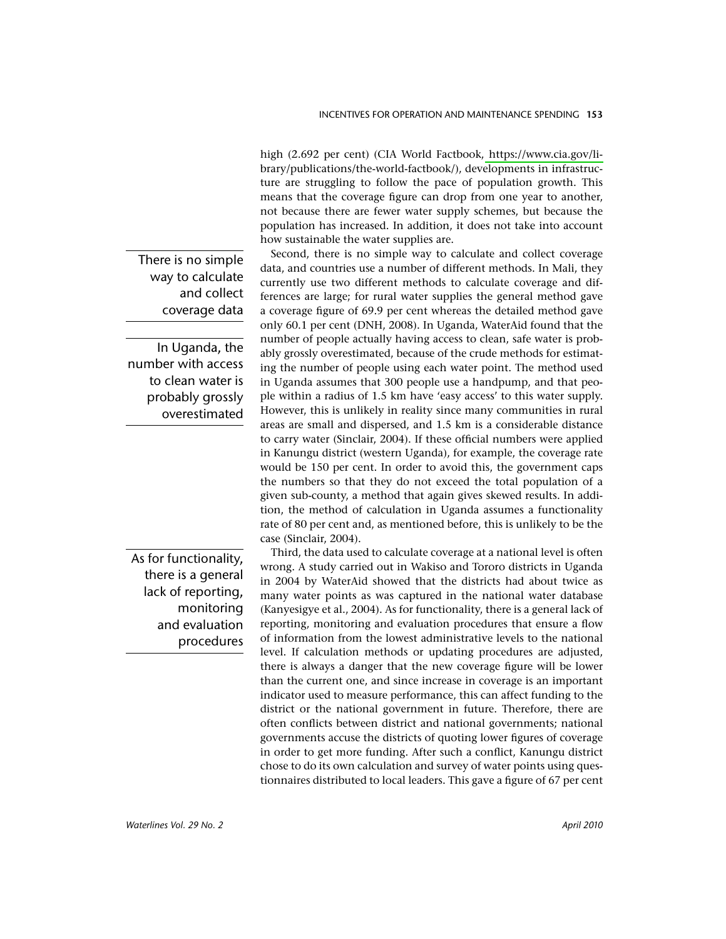high (2.692 per cent) (CIA World Factbook, https://www.cia.gov/library/publications/the-world-factbook/), developments in infrastructure are struggling to follow the pace of population growth. This means that the coverage figure can drop from one year to another, not because there are fewer water supply schemes, but because the population has increased. In addition, it does not take into account how sustainable the water supplies are.

Second, there is no simple way to calculate and collect coverage data, and countries use a number of different methods. In Mali, they currently use two different methods to calculate coverage and differences are large; for rural water supplies the general method gave a coverage figure of 69.9 per cent whereas the detailed method gave only 60.1 per cent (DNH, 2008). In Uganda, WaterAid found that the number of people actually having access to clean, safe water is probably grossly overestimated, because of the crude methods for estimating the number of people using each water point. The method used in Uganda assumes that 300 people use a handpump, and that people within a radius of 1.5 km have 'easy access' to this water supply. However, this is unlikely in reality since many communities in rural areas are small and dispersed, and 1.5 km is a considerable distance to carry water (Sinclair, 2004). If these official numbers were applied in Kanungu district (western Uganda), for example, the coverage rate would be 150 per cent. In order to avoid this, the government caps the numbers so that they do not exceed the total population of a given sub-county, a method that again gives skewed results. In addition, the method of calculation in Uganda assumes a functionality rate of 80 per cent and, as mentioned before, this is unlikely to be the case (Sinclair, 2004).

Third, the data used to calculate coverage at a national level is often wrong. A study carried out in Wakiso and Tororo districts in Uganda in 2004 by WaterAid showed that the districts had about twice as many water points as was captured in the national water database (Kanyesigye et al., 2004). As for functionality, there is a general lack of reporting, monitoring and evaluation procedures that ensure a flow of information from the lowest administrative levels to the national level. If calculation methods or updating procedures are adjusted, there is always a danger that the new coverage figure will be lower than the current one, and since increase in coverage is an important indicator used to measure performance, this can affect funding to the district or the national government in future. Therefore, there are often conflicts between district and national governments; national governments accuse the districts of quoting lower figures of coverage in order to get more funding. After such a conflict, Kanungu district chose to do its own calculation and survey of water points using questionnaires distributed to local leaders. This gave a figure of 67 per cent

There is no simple way to calculate and collect coverage data

In Uganda, the number with access to clean water is probably grossly overestimated

As for functionality, there is a general lack of reporting, monitoring and evaluation procedures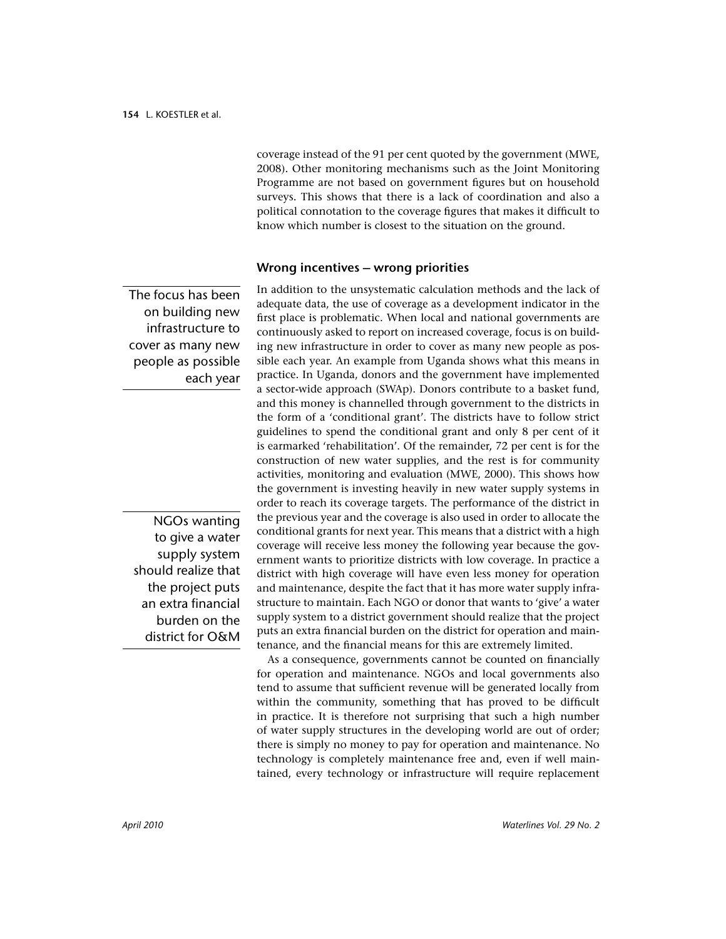coverage instead of the 91 per cent quoted by the government (MWE, 2008). Other monitoring mechanisms such as the Joint Monitoring Programme are not based on government figures but on household surveys. This shows that there is a lack of coordination and also a political connotation to the coverage figures that makes it difficult to know which number is closest to the situation on the ground.

#### Wrong incentives - wrong priorities

The focus has been on building new infrastructure to cover as many new people as possible each year

**NGOs wanting** to give a water supply system should realize that the project puts an extra financial burden on the district for O&M

In addition to the unsystematic calculation methods and the lack of adequate data, the use of coverage as a development indicator in the first place is problematic. When local and national governments are continuously asked to report on increased coverage, focus is on building new infrastructure in order to cover as many new people as possible each year. An example from Uganda shows what this means in practice. In Uganda, donors and the government have implemented a sector-wide approach (SWAp). Donors contribute to a basket fund, and this money is channelled through government to the districts in the form of a 'conditional grant'. The districts have to follow strict guidelines to spend the conditional grant and only 8 per cent of it is earmarked 'rehabilitation'. Of the remainder, 72 per cent is for the construction of new water supplies, and the rest is for community activities, monitoring and evaluation (MWE, 2000). This shows how the government is investing heavily in new water supply systems in order to reach its coverage targets. The performance of the district in the previous year and the coverage is also used in order to allocate the conditional grants for next year. This means that a district with a high coverage will receive less money the following year because the government wants to prioritize districts with low coverage. In practice a district with high coverage will have even less money for operation and maintenance, despite the fact that it has more water supply infrastructure to maintain. Each NGO or donor that wants to 'give' a water supply system to a district government should realize that the project puts an extra financial burden on the district for operation and maintenance, and the financial means for this are extremely limited.

As a consequence, governments cannot be counted on financially for operation and maintenance. NGOs and local governments also tend to assume that sufficient revenue will be generated locally from within the community, something that has proved to be difficult in practice. It is therefore not surprising that such a high number of water supply structures in the developing world are out of order; there is simply no money to pay for operation and maintenance. No technology is completely maintenance free and, even if well maintained, every technology or infrastructure will require replacement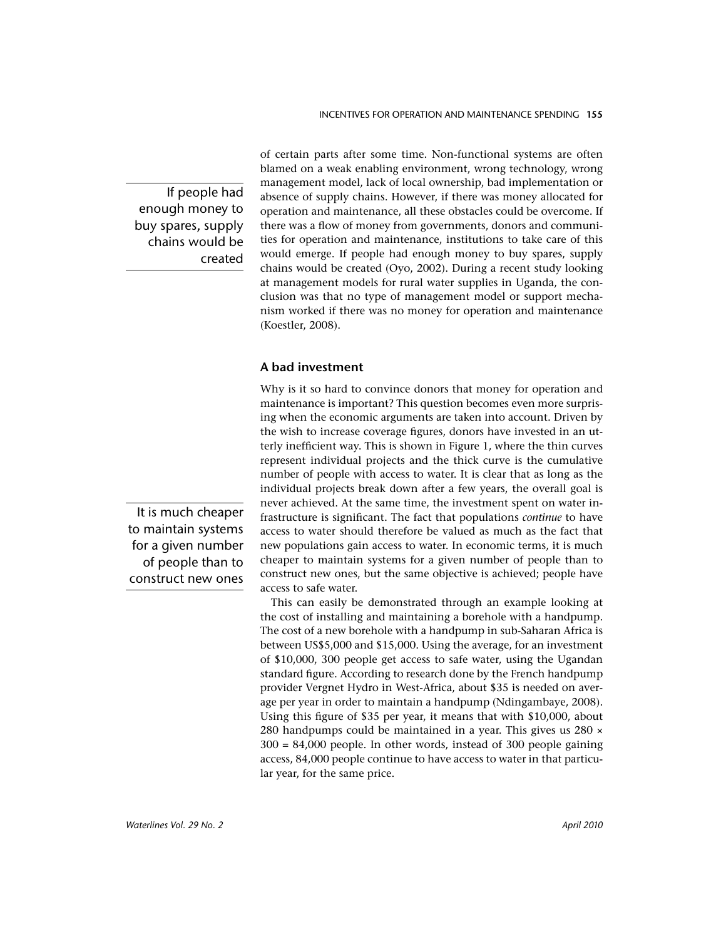If people had enough money to buy spares, supply chains would be created

It is much cheaper to maintain systems for a given number of people than to construct new ones

of certain parts after some time. Non-functional systems are often blamed on a weak enabling environment, wrong technology, wrong management model, lack of local ownership, bad implementation or absence of supply chains. However, if there was money allocated for operation and maintenance, all these obstacles could be overcome. If there was a flow of money from governments, donors and communities for operation and maintenance, institutions to take care of this would emerge. If people had enough money to buy spares, supply chains would be created (Oyo, 2002). During a recent study looking at management models for rural water supplies in Uganda, the conclusion was that no type of management model or support mechanism worked if there was no money for operation and maintenance (Koestler, 2008).

### A bad investment

Why is it so hard to convince donors that money for operation and maintenance is important? This question becomes even more surprising when the economic arguments are taken into account. Driven by the wish to increase coverage figures, donors have invested in an utterly inefficient way. This is shown in Figure 1, where the thin curves represent individual projects and the thick curve is the cumulative number of people with access to water. It is clear that as long as the individual projects break down after a few years, the overall goal is never achieved. At the same time, the investment spent on water infrastructure is significant. The fact that populations *continue* to have access to water should therefore be valued as much as the fact that new populations gain access to water. In economic terms, it is much cheaper to maintain systems for a given number of people than to construct new ones, but the same objective is achieved; people have access to safe water.

This can easily be demonstrated through an example looking at the cost of installing and maintaining a borehole with a handpump. The cost of a new borehole with a handpump in sub-Saharan Africa is between US\$5,000 and \$15,000. Using the average, for an investment of \$10,000, 300 people get access to safe water, using the Ugandan standard figure. According to research done by the French handpump provider Vergnet Hydro in West-Africa, about \$35 is needed on average per year in order to maintain a handpump (Ndingambaye, 2008). Using this figure of \$35 per year, it means that with \$10,000, about 280 handpumps could be maintained in a year. This gives us 280 x  $300 = 84,000$  people. In other words, instead of 300 people gaining access, 84,000 people continue to have access to water in that particular year, for the same price.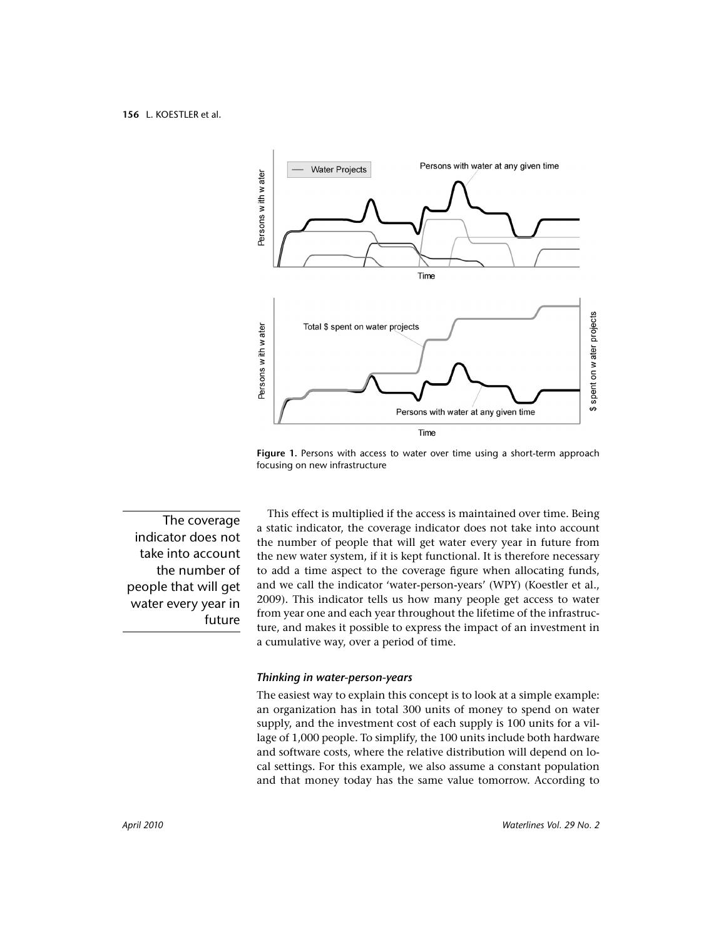

Figure 1. Persons with access to water over time using a short-term approach focusing on new infrastructure

The coverage indicator does not take into account the number of people that will get water every year in future

This effect is multiplied if the access is maintained over time. Being a static indicator, the coverage indicator does not take into account the number of people that will get water every year in future from the new water system, if it is kept functional. It is therefore necessary to add a time aspect to the coverage figure when allocating funds. and we call the indicator 'water-person-years' (WPY) (Koestler et al., 2009). This indicator tells us how many people get access to water from year one and each year throughout the lifetime of the infrastructure, and makes it possible to express the impact of an investment in a cumulative way, over a period of time.

#### Thinking in water-person-years

The easiest way to explain this concept is to look at a simple example: an organization has in total 300 units of money to spend on water supply, and the investment cost of each supply is 100 units for a village of 1,000 people. To simplify, the 100 units include both hardware and software costs, where the relative distribution will depend on local settings. For this example, we also assume a constant population and that money today has the same value tomorrow. According to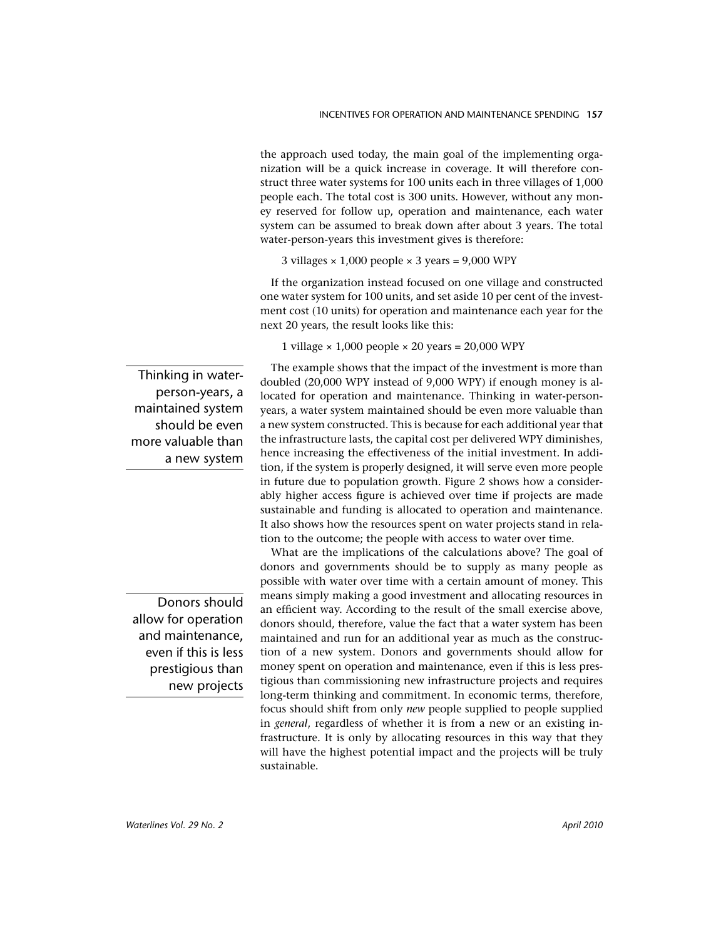the approach used today, the main goal of the implementing organization will be a quick increase in coverage. It will therefore construct three water systems for 100 units each in three villages of 1,000 people each. The total cost is 300 units. However, without any money reserved for follow up, operation and maintenance, each water system can be assumed to break down after about 3 years. The total water-person-years this investment gives is therefore:

3 villages  $\times$  1,000 people  $\times$  3 years = 9,000 WPY

If the organization instead focused on one village and constructed one water system for 100 units, and set aside 10 per cent of the investment cost (10 units) for operation and maintenance each year for the next 20 years, the result looks like this:

1 village  $\times$  1,000 people  $\times$  20 years = 20,000 WPY

The example shows that the impact of the investment is more than doubled (20,000 WPY instead of 9,000 WPY) if enough money is allocated for operation and maintenance. Thinking in water-personyears, a water system maintained should be even more valuable than a new system constructed. This is because for each additional year that the infrastructure lasts, the capital cost per delivered WPY diminishes, hence increasing the effectiveness of the initial investment. In addition, if the system is properly designed, it will serve even more people in future due to population growth. Figure 2 shows how a considerably higher access figure is achieved over time if projects are made sustainable and funding is allocated to operation and maintenance. It also shows how the resources spent on water projects stand in relation to the outcome; the people with access to water over time.

What are the implications of the calculations above? The goal of donors and governments should be to supply as many people as possible with water over time with a certain amount of money. This means simply making a good investment and allocating resources in an efficient way. According to the result of the small exercise above, donors should, therefore, value the fact that a water system has been maintained and run for an additional year as much as the construction of a new system. Donors and governments should allow for money spent on operation and maintenance, even if this is less prestigious than commissioning new infrastructure projects and requires long-term thinking and commitment. In economic terms, therefore, focus should shift from only new people supplied to people supplied in *general*, regardless of whether it is from a new or an existing infrastructure. It is only by allocating resources in this way that they will have the highest potential impact and the projects will be truly sustainable.

Thinking in waterperson-years, a maintained system should be even more valuable than a new system

Donors should allow for operation and maintenance, even if this is less prestigious than new projects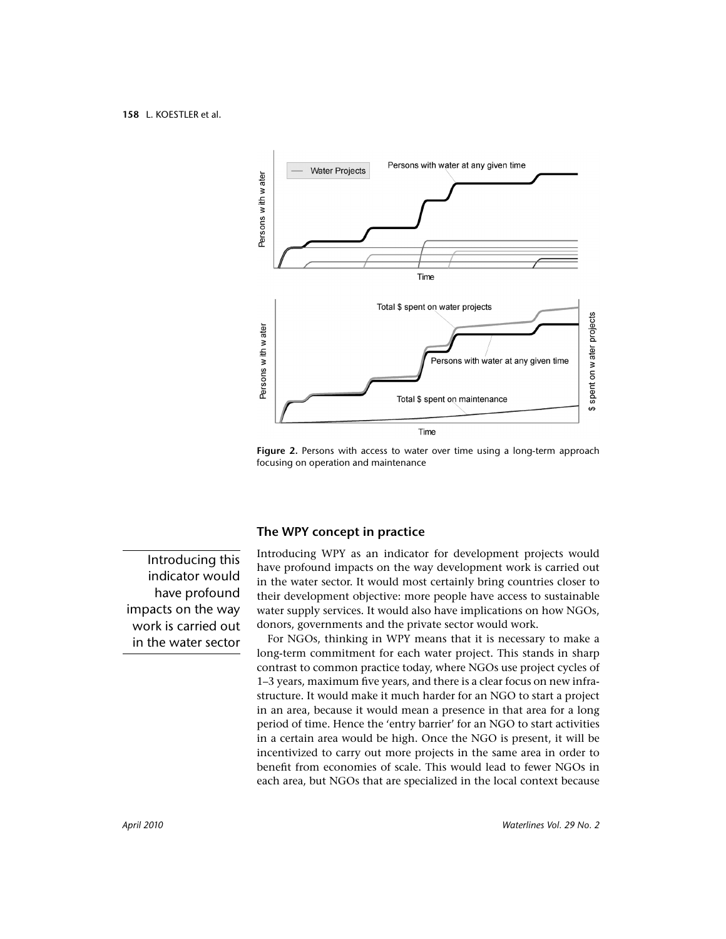

Figure 2. Persons with access to water over time using a long-term approach focusing on operation and maintenance

Introducing this indicator would have profound impacts on the way work is carried out in the water sector

#### The WPY concept in practice

Introducing WPY as an indicator for development projects would have profound impacts on the way development work is carried out in the water sector. It would most certainly bring countries closer to their development objective: more people have access to sustainable water supply services. It would also have implications on how NGOs, donors, governments and the private sector would work.

For NGOs, thinking in WPY means that it is necessary to make a long-term commitment for each water project. This stands in sharp contrast to common practice today, where NGOs use project cycles of 1–3 years, maximum five years, and there is a clear focus on new infrastructure. It would make it much harder for an NGO to start a project in an area, because it would mean a presence in that area for a long period of time. Hence the 'entry barrier' for an NGO to start activities in a certain area would be high. Once the NGO is present, it will be incentivized to carry out more projects in the same area in order to benefit from economies of scale. This would lead to fewer NGOs in each area, but NGOs that are specialized in the local context because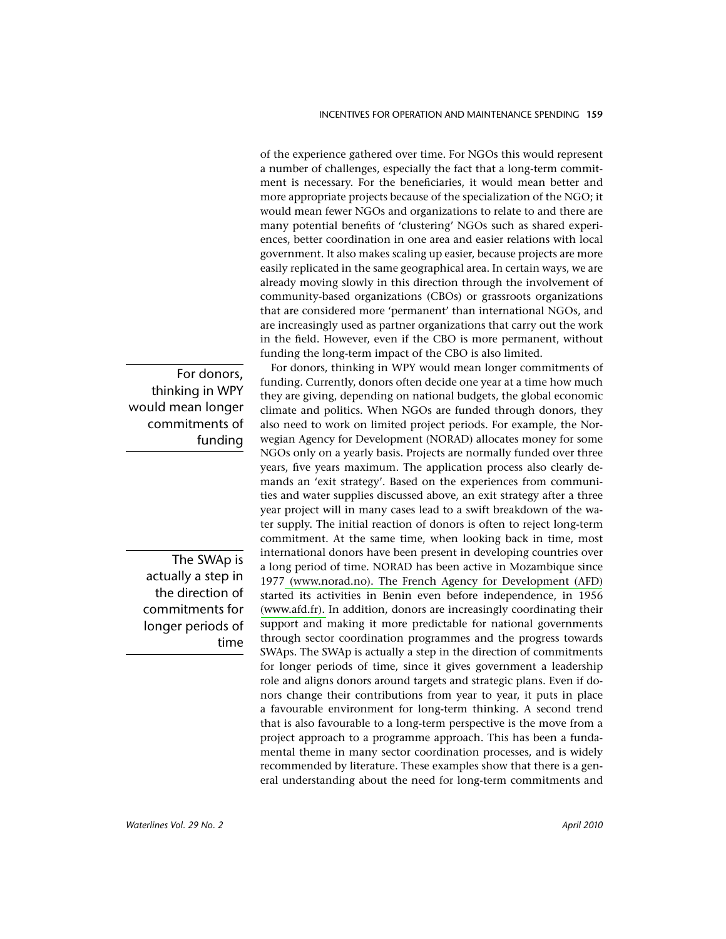of the experience gathered over time. For NGOs this would represent a number of challenges, especially the fact that a long-term commitment is necessary. For the beneficiaries, it would mean better and more appropriate projects because of the specialization of the NGO; it would mean fewer NGOs and organizations to relate to and there are many potential benefits of 'clustering' NGOs such as shared experiences, better coordination in one area and easier relations with local government. It also makes scaling up easier, because projects are more easily replicated in the same geographical area. In certain ways, we are already moving slowly in this direction through the involvement of community-based organizations (CBOs) or grassroots organizations that are considered more 'permanent' than international NGOs, and are increasingly used as partner organizations that carry out the work in the field. However, even if the CBO is more permanent, without funding the long-term impact of the CBO is also limited.

For donors, thinking in WPY would mean longer commitments of funding. Currently, donors often decide one year at a time how much they are giving, depending on national budgets, the global economic climate and politics. When NGOs are funded through donors, they also need to work on limited project periods. For example, the Norwegian Agency for Development (NORAD) allocates money for some NGOs only on a yearly basis. Projects are normally funded over three years, five years maximum. The application process also clearly demands an 'exit strategy'. Based on the experiences from communities and water supplies discussed above, an exit strategy after a three year project will in many cases lead to a swift breakdown of the water supply. The initial reaction of donors is often to reject long-term commitment. At the same time, when looking back in time, most international donors have been present in developing countries over a long period of time. NORAD has been active in Mozambique since 1977 (www.norad.no). The French Agency for Development (AFD) started its activities in Benin even before independence, in 1956 (www.afd.fr). In addition, donors are increasingly coordinating their support and making it more predictable for national governments through sector coordination programmes and the progress towards SWAps. The SWAp is actually a step in the direction of commitments for longer periods of time, since it gives government a leadership role and aligns donors around targets and strategic plans. Even if donors change their contributions from year to year, it puts in place a favourable environment for long-term thinking. A second trend that is also favourable to a long-term perspective is the move from a project approach to a programme approach. This has been a fundamental theme in many sector coordination processes, and is widely recommended by literature. These examples show that there is a general understanding about the need for long-term commitments and

For donors, thinking in WPY would mean longer commitments of fundina

> The SWAp is actually a step in the direction of commitments for longer periods of time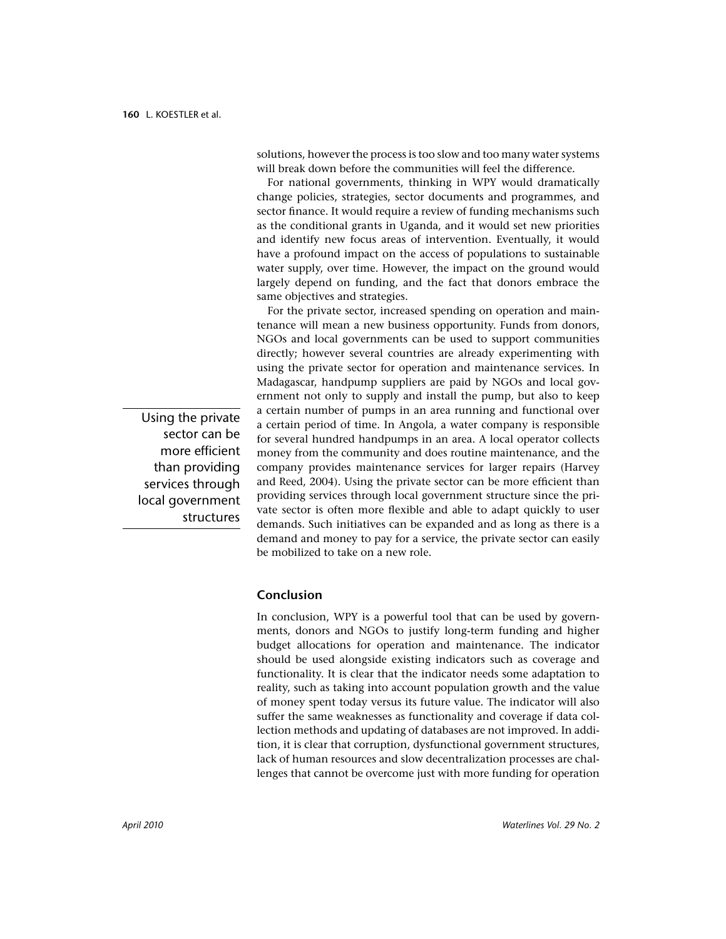solutions, however the process is too slow and too many water systems will break down before the communities will feel the difference.

For national governments, thinking in WPY would dramatically change policies, strategies, sector documents and programmes, and sector finance. It would require a review of funding mechanisms such as the conditional grants in Uganda, and it would set new priorities and identify new focus areas of intervention. Eventually, it would have a profound impact on the access of populations to sustainable water supply, over time. However, the impact on the ground would largely depend on funding, and the fact that donors embrace the same objectives and strategies.

For the private sector, increased spending on operation and maintenance will mean a new business opportunity. Funds from donors, NGOs and local governments can be used to support communities directly; however several countries are already experimenting with using the private sector for operation and maintenance services. In Madagascar, handpump suppliers are paid by NGOs and local government not only to supply and install the pump, but also to keep a certain number of pumps in an area running and functional over a certain period of time. In Angola, a water company is responsible for several hundred handpumps in an area. A local operator collects money from the community and does routine maintenance, and the company provides maintenance services for larger repairs (Harvey and Reed, 2004). Using the private sector can be more efficient than providing services through local government structure since the private sector is often more flexible and able to adapt quickly to user demands. Such initiatives can be expanded and as long as there is a demand and money to pay for a service, the private sector can easily be mobilized to take on a new role.

Conclusion

In conclusion, WPY is a powerful tool that can be used by governments, donors and NGOs to justify long-term funding and higher budget allocations for operation and maintenance. The indicator should be used alongside existing indicators such as coverage and functionality. It is clear that the indicator needs some adaptation to reality, such as taking into account population growth and the value of money spent today versus its future value. The indicator will also suffer the same weaknesses as functionality and coverage if data collection methods and updating of databases are not improved. In addition, it is clear that corruption, dysfunctional government structures, lack of human resources and slow decentralization processes are challenges that cannot be overcome just with more funding for operation

Using the private sector can be more efficient than providing services through local government structures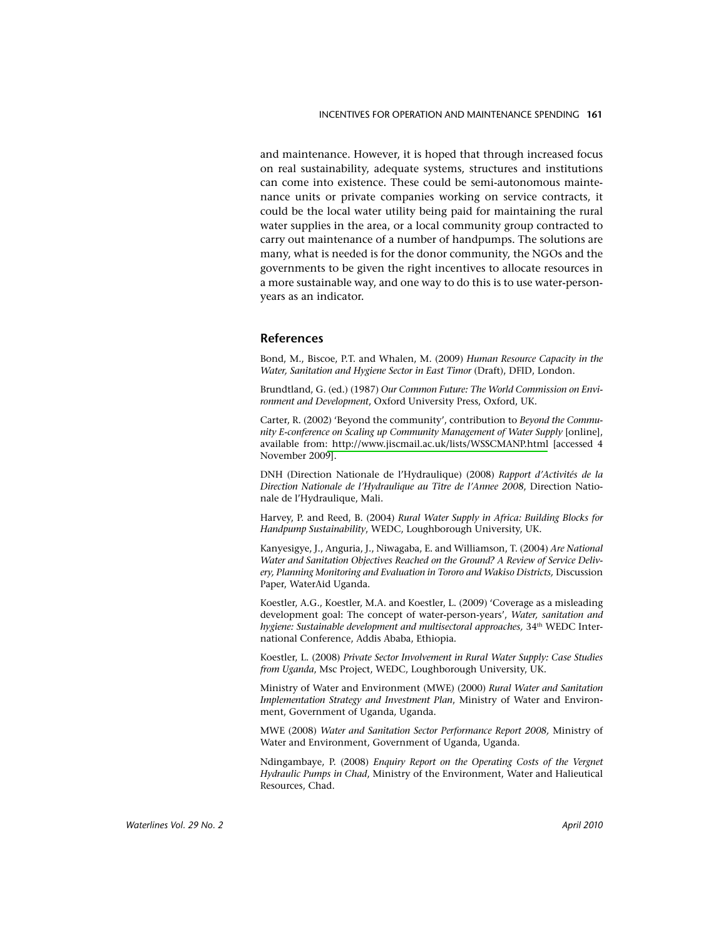and maintenance. However, it is hoped that through increased focus on real sustainability, adequate systems, structures and institutions can come into existence. These could be semi-autonomous maintenance units or private companies working on service contracts, it could be the local water utility being paid for maintaining the rural water supplies in the area, or a local community group contracted to carry out maintenance of a number of handpumps. The solutions are many, what is needed is for the donor community, the NGOs and the governments to be given the right incentives to allocate resources in a more sustainable way, and one way to do this is to use water-personyears as an indicator.

#### **References**

Bond, M., Biscoe, P.T. and Whalen, M. (2009) Human Resource Capacity in the Water, Sanitation and Hygiene Sector in East Timor (Draft), DFID, London.

Brundtland, G. (ed.) (1987) Our Common Future: The World Commission on Environment and Development, Oxford University Press, Oxford, UK.

Carter, R. (2002) 'Beyond the community', contribution to Beyond the Community E-conference on Scaling up Community Management of Water Supply [online], available from: http://www.jiscmail.ac.uk/lists/WSSCMANP.html [accessed 4 November 2009].

DNH (Direction Nationale de l'Hydraulique) (2008) Rapport d'Activités de la Direction Nationale de l'Hydraulique au Titre de l'Annee 2008, Direction Nationale de l'Hydraulique, Mali.

Harvev. P. and Reed, B. (2004) Rural Water Supply in Africa: Building Blocks for Handpump Sustainability, WEDC, Loughborough University, UK.

Kanyesigye, J., Anguria, J., Niwagaba, E. and Williamson, T. (2004) Are National Water and Sanitation Objectives Reached on the Ground? A Review of Service Delivery, Planning Monitoring and Evaluation in Tororo and Wakiso Districts, Discussion Paper, WaterAid Uganda.

Koestler, A.G., Koestler, M.A. and Koestler, L. (2009) 'Coverage as a misleading development goal: The concept of water-person-years', Water, sanitation and hygiene: Sustainable development and multisectoral approaches, 34<sup>th</sup> WEDC International Conference, Addis Ababa, Ethiopia.

Koestler, L. (2008) Private Sector Involvement in Rural Water Supply: Case Studies from Uganda, Msc Project, WEDC, Loughborough University, UK.

Ministry of Water and Environment (MWE) (2000) Rural Water and Sanitation Implementation Strategy and Investment Plan, Ministry of Water and Environment, Government of Uganda, Uganda.

MWE (2008) Water and Sanitation Sector Performance Report 2008, Ministry of Water and Environment, Government of Uganda, Uganda.

Ndingambaye, P. (2008) Enquiry Report on the Operating Costs of the Vergnet Hydraulic Pumps in Chad, Ministry of the Environment, Water and Halieutical Resources, Chad.